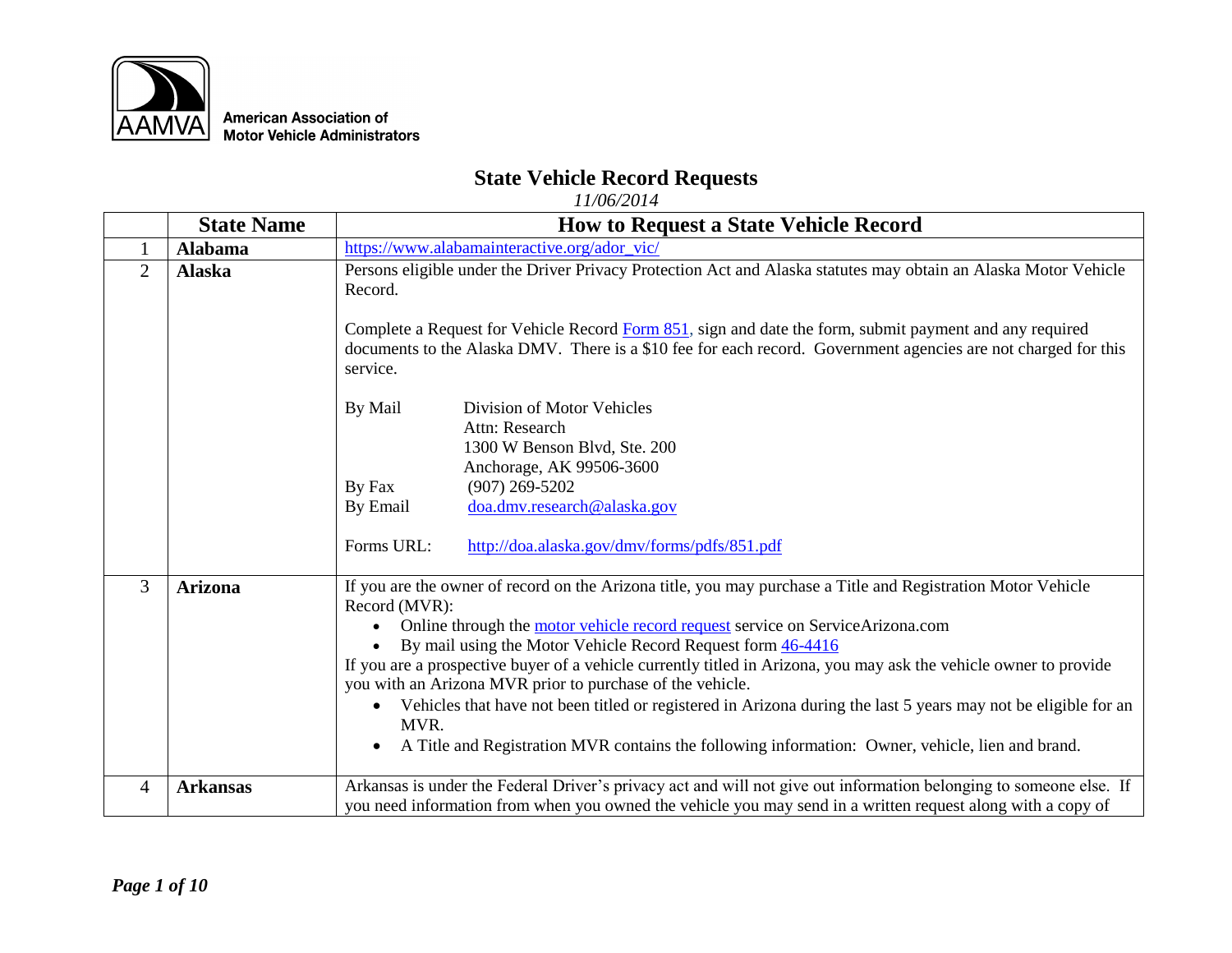

## **State Vehicle Record Requests**

|                | <b>State Name</b> | <b>How to Request a State Vehicle Record</b>                                                                                                                                                                                                                                                                                                                                                                                                                                                                                                                                                                                                                                                               |  |
|----------------|-------------------|------------------------------------------------------------------------------------------------------------------------------------------------------------------------------------------------------------------------------------------------------------------------------------------------------------------------------------------------------------------------------------------------------------------------------------------------------------------------------------------------------------------------------------------------------------------------------------------------------------------------------------------------------------------------------------------------------------|--|
| 1              | <b>Alabama</b>    | https://www.alabamainteractive.org/ador_vic/                                                                                                                                                                                                                                                                                                                                                                                                                                                                                                                                                                                                                                                               |  |
| $\overline{2}$ | <b>Alaska</b>     | Persons eligible under the Driver Privacy Protection Act and Alaska statutes may obtain an Alaska Motor Vehicle<br>Record.<br>Complete a Request for Vehicle Record Form 851, sign and date the form, submit payment and any required<br>documents to the Alaska DMV. There is a \$10 fee for each record. Government agencies are not charged for this<br>service.                                                                                                                                                                                                                                                                                                                                        |  |
|                |                   | By Mail<br>Division of Motor Vehicles<br>Attn: Research<br>1300 W Benson Blvd, Ste. 200<br>Anchorage, AK 99506-3600<br>$(907)$ 269-5202<br>By Fax<br>doa.dmv.research@alaska.gov<br>By Email<br>Forms URL:<br>http://doa.alaska.gov/dmv/forms/pdfs/851.pdf                                                                                                                                                                                                                                                                                                                                                                                                                                                 |  |
| 3              | <b>Arizona</b>    | If you are the owner of record on the Arizona title, you may purchase a Title and Registration Motor Vehicle<br>Record (MVR):<br>Online through the motor vehicle record request service on ServiceArizona.com<br>By mail using the Motor Vehicle Record Request form 46-4416<br>$\bullet$<br>If you are a prospective buyer of a vehicle currently titled in Arizona, you may ask the vehicle owner to provide<br>you with an Arizona MVR prior to purchase of the vehicle.<br>Vehicles that have not been titled or registered in Arizona during the last 5 years may not be eligible for an<br>MVR.<br>A Title and Registration MVR contains the following information: Owner, vehicle, lien and brand. |  |
| $\overline{4}$ | <b>Arkansas</b>   | Arkansas is under the Federal Driver's privacy act and will not give out information belonging to someone else. If<br>you need information from when you owned the vehicle you may send in a written request along with a copy of                                                                                                                                                                                                                                                                                                                                                                                                                                                                          |  |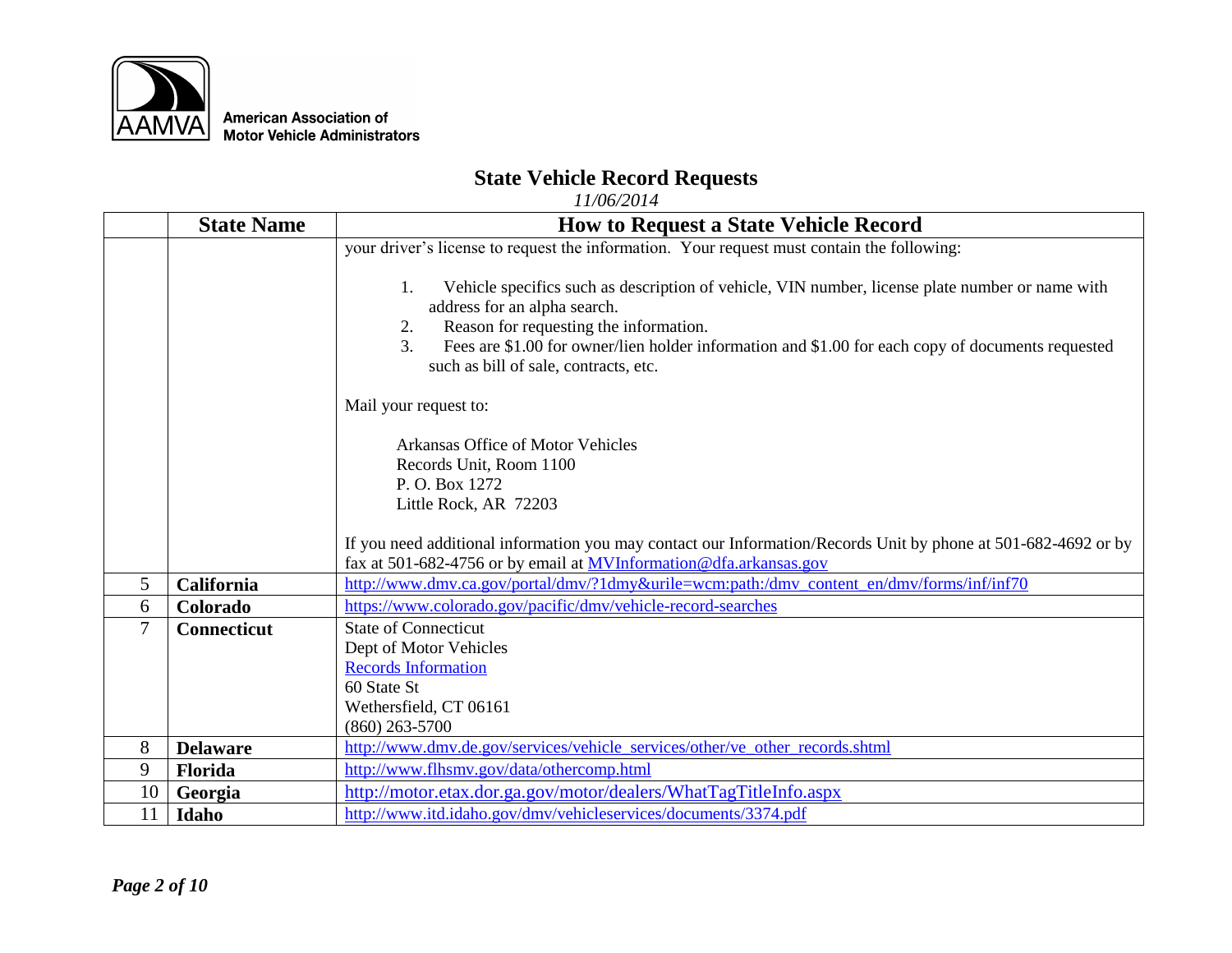

## **State Vehicle Record Requests**

|                | <b>State Name</b>  | <b>How to Request a State Vehicle Record</b>                                                                                                                                                                                                                                                                                                                     |  |
|----------------|--------------------|------------------------------------------------------------------------------------------------------------------------------------------------------------------------------------------------------------------------------------------------------------------------------------------------------------------------------------------------------------------|--|
|                |                    | your driver's license to request the information. Your request must contain the following:                                                                                                                                                                                                                                                                       |  |
|                |                    | Vehicle specifics such as description of vehicle, VIN number, license plate number or name with<br>$1_{\cdot}$<br>address for an alpha search.<br>Reason for requesting the information.<br>2.<br>$\overline{3}$ .<br>Fees are \$1.00 for owner/lien holder information and \$1.00 for each copy of documents requested<br>such as bill of sale, contracts, etc. |  |
|                |                    | Mail your request to:                                                                                                                                                                                                                                                                                                                                            |  |
|                |                    | Arkansas Office of Motor Vehicles<br>Records Unit, Room 1100<br>P. O. Box 1272<br>Little Rock, AR 72203                                                                                                                                                                                                                                                          |  |
|                |                    | If you need additional information you may contact our Information/Records Unit by phone at 501-682-4692 or by<br>fax at 501-682-4756 or by email at <b>MVInformation</b> @ dfa.arkansas.gov                                                                                                                                                                     |  |
| 5 <sup>5</sup> | <b>California</b>  | http://www.dmv.ca.gov/portal/dmv/?1dmy&urile=wcm:path:/dmv_content_en/dmv/forms/inf/inf70                                                                                                                                                                                                                                                                        |  |
| 6              | Colorado           | https://www.colorado.gov/pacific/dmv/vehicle-record-searches                                                                                                                                                                                                                                                                                                     |  |
| $\overline{7}$ | <b>Connecticut</b> | <b>State of Connecticut</b><br>Dept of Motor Vehicles                                                                                                                                                                                                                                                                                                            |  |
|                |                    | <b>Records Information</b>                                                                                                                                                                                                                                                                                                                                       |  |
|                |                    | 60 State St                                                                                                                                                                                                                                                                                                                                                      |  |
|                |                    | Wethersfield, CT 06161                                                                                                                                                                                                                                                                                                                                           |  |
|                |                    | $(860)$ 263-5700                                                                                                                                                                                                                                                                                                                                                 |  |
| 8              | <b>Delaware</b>    | http://www.dmv.de.gov/services/vehicle_services/other/ve_other_records.shtml                                                                                                                                                                                                                                                                                     |  |
| 9              | Florida            | http://www.flhsmv.gov/data/othercomp.html                                                                                                                                                                                                                                                                                                                        |  |
| 10             | Georgia            | http://motor.etax.dor.ga.gov/motor/dealers/WhatTagTitleInfo.aspx                                                                                                                                                                                                                                                                                                 |  |
| 11             | Idaho              | http://www.itd.idaho.gov/dmv/vehicleservices/documents/3374.pdf                                                                                                                                                                                                                                                                                                  |  |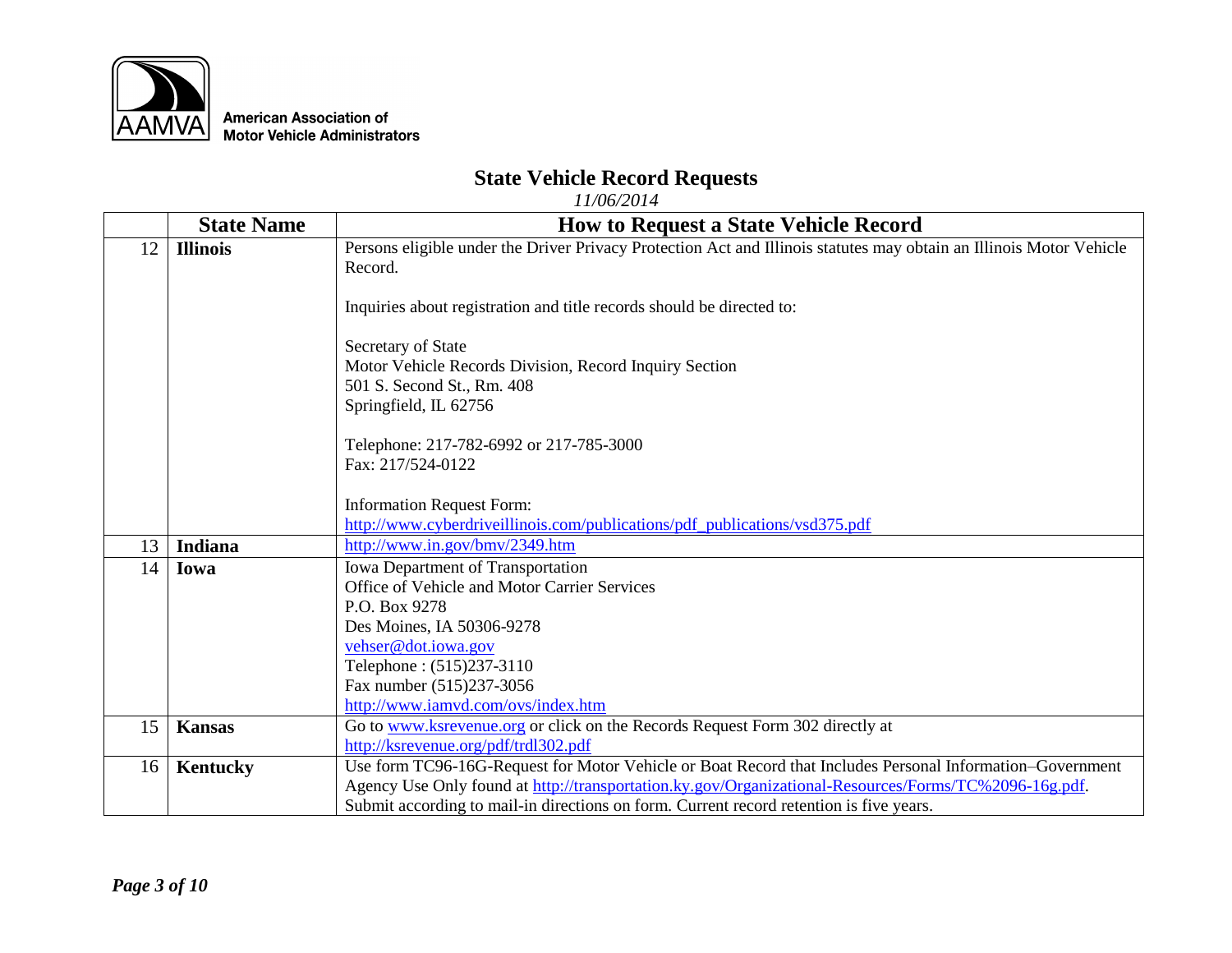

## **State Vehicle Record Requests**

|    | <b>State Name</b> | <b>How to Request a State Vehicle Record</b>                                                                        |  |
|----|-------------------|---------------------------------------------------------------------------------------------------------------------|--|
| 12 | <b>Illinois</b>   | Persons eligible under the Driver Privacy Protection Act and Illinois statutes may obtain an Illinois Motor Vehicle |  |
|    |                   | Record.                                                                                                             |  |
|    |                   |                                                                                                                     |  |
|    |                   | Inquiries about registration and title records should be directed to:                                               |  |
|    |                   | Secretary of State                                                                                                  |  |
|    |                   | Motor Vehicle Records Division, Record Inquiry Section                                                              |  |
|    |                   | 501 S. Second St., Rm. 408                                                                                          |  |
|    |                   | Springfield, IL 62756                                                                                               |  |
|    |                   |                                                                                                                     |  |
|    |                   | Telephone: 217-782-6992 or 217-785-3000                                                                             |  |
|    |                   | Fax: 217/524-0122                                                                                                   |  |
|    |                   |                                                                                                                     |  |
|    |                   | <b>Information Request Form:</b><br>http://www.cyberdriveillinois.com/publications/pdf_publications/vsd375.pdf      |  |
| 13 | Indiana           | http://www.in.gov/bmv/2349.htm                                                                                      |  |
|    |                   |                                                                                                                     |  |
| 14 | Iowa              | Iowa Department of Transportation                                                                                   |  |
|    |                   | Office of Vehicle and Motor Carrier Services                                                                        |  |
|    |                   | P.O. Box 9278                                                                                                       |  |
|    |                   | Des Moines, IA 50306-9278                                                                                           |  |
|    |                   | vehser@dot.iowa.gov                                                                                                 |  |
|    |                   | Telephone: (515)237-3110                                                                                            |  |
|    |                   | Fax number (515)237-3056                                                                                            |  |
|    |                   | http://www.iamvd.com/ovs/index.htm                                                                                  |  |
| 15 | <b>Kansas</b>     | Go to www.ksrevenue.org or click on the Records Request Form 302 directly at                                        |  |
|    |                   | http://ksrevenue.org/pdf/trdl302.pdf                                                                                |  |
| 16 | <b>Kentucky</b>   | Use form TC96-16G-Request for Motor Vehicle or Boat Record that Includes Personal Information-Government            |  |
|    |                   | Agency Use Only found at http://transportation.ky.gov/Organizational-Resources/Forms/TC%2096-16g.pdf.               |  |
|    |                   | Submit according to mail-in directions on form. Current record retention is five years.                             |  |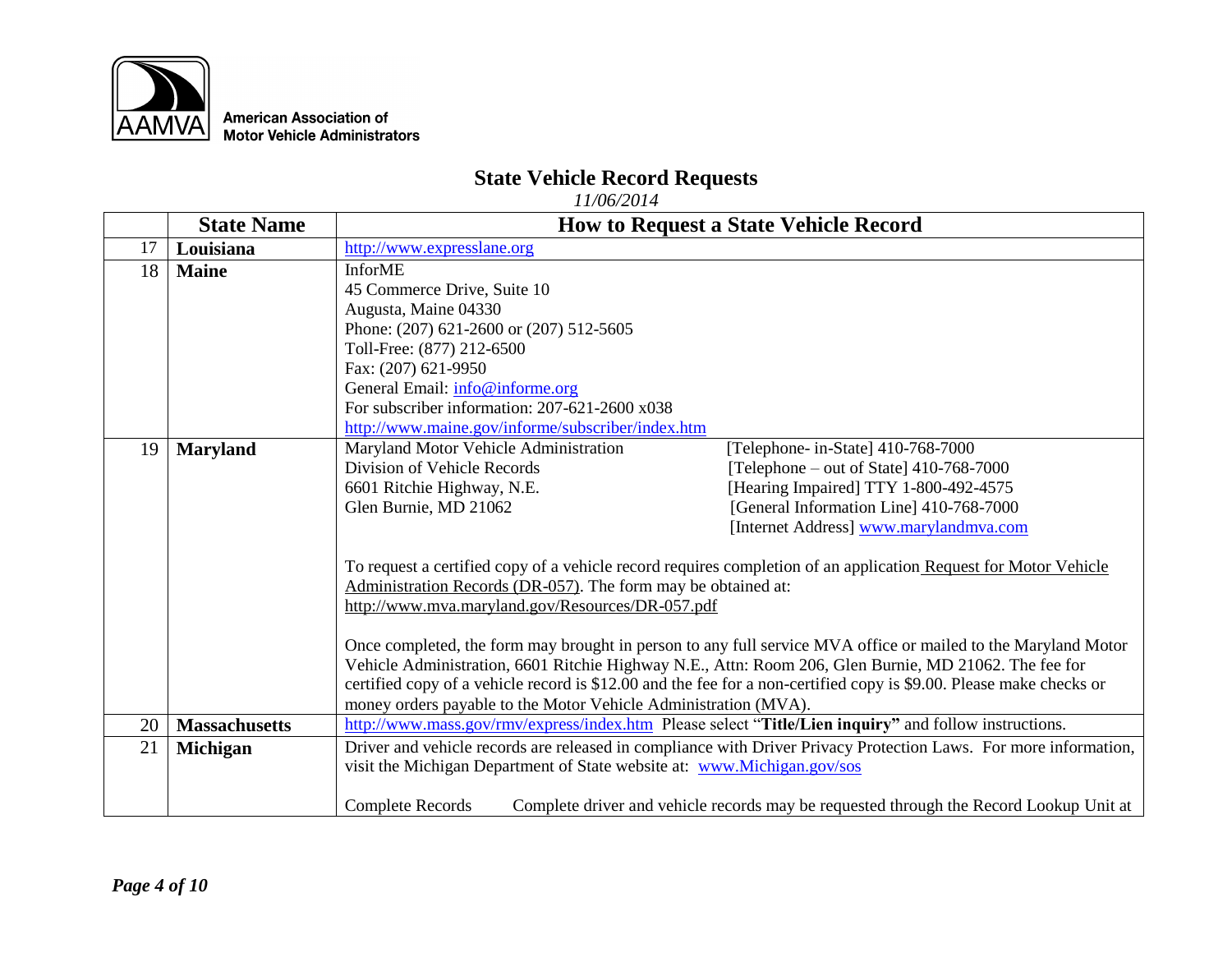

## **State Vehicle Record Requests**

|    | <b>State Name</b>    |                                                                                                                                                                          | <b>How to Request a State Vehicle Record</b>                                                                                                                                                                                         |
|----|----------------------|--------------------------------------------------------------------------------------------------------------------------------------------------------------------------|--------------------------------------------------------------------------------------------------------------------------------------------------------------------------------------------------------------------------------------|
| 17 | Louisiana            | http://www.expresslane.org                                                                                                                                               |                                                                                                                                                                                                                                      |
| 18 | <b>Maine</b>         | <b>InforME</b>                                                                                                                                                           |                                                                                                                                                                                                                                      |
|    |                      | 45 Commerce Drive, Suite 10                                                                                                                                              |                                                                                                                                                                                                                                      |
|    |                      | Augusta, Maine 04330                                                                                                                                                     |                                                                                                                                                                                                                                      |
|    |                      | Phone: (207) 621-2600 or (207) 512-5605                                                                                                                                  |                                                                                                                                                                                                                                      |
|    |                      | Toll-Free: (877) 212-6500                                                                                                                                                |                                                                                                                                                                                                                                      |
|    |                      | Fax: (207) 621-9950                                                                                                                                                      |                                                                                                                                                                                                                                      |
|    |                      | General Email: info@informe.org                                                                                                                                          |                                                                                                                                                                                                                                      |
|    |                      | For subscriber information: $207-621-2600 \times 038$                                                                                                                    |                                                                                                                                                                                                                                      |
|    |                      | http://www.maine.gov/informe/subscriber/index.htm                                                                                                                        |                                                                                                                                                                                                                                      |
| 19 | <b>Maryland</b>      | Maryland Motor Vehicle Administration                                                                                                                                    | [Telephone- in-State] 410-768-7000                                                                                                                                                                                                   |
|    |                      | Division of Vehicle Records                                                                                                                                              | [Telephone – out of State] $410-768-7000$                                                                                                                                                                                            |
|    |                      | 6601 Ritchie Highway, N.E.                                                                                                                                               | [Hearing Impaired] TTY 1-800-492-4575                                                                                                                                                                                                |
|    |                      | Glen Burnie, MD 21062                                                                                                                                                    | [General Information Line] 410-768-7000                                                                                                                                                                                              |
|    |                      |                                                                                                                                                                          | [Internet Address] www.marylandmva.com                                                                                                                                                                                               |
|    |                      | Administration Records (DR-057). The form may be obtained at:<br>http://www.mva.maryland.gov/Resources/DR-057.pdf                                                        | To request a certified copy of a vehicle record requires completion of an application Request for Motor Vehicle                                                                                                                      |
|    |                      | Vehicle Administration, 6601 Ritchie Highway N.E., Attn: Room 206, Glen Burnie, MD 21062. The fee for<br>money orders payable to the Motor Vehicle Administration (MVA). | Once completed, the form may brought in person to any full service MVA office or mailed to the Maryland Motor<br>certified copy of a vehicle record is \$12.00 and the fee for a non-certified copy is \$9.00. Please make checks or |
| 20 | <b>Massachusetts</b> | http://www.mass.gov/rmv/express/index.htm Please select "Title/Lien inquiry" and follow instructions.                                                                    |                                                                                                                                                                                                                                      |
| 21 | <b>Michigan</b>      | visit the Michigan Department of State website at: www.Michigan.gov/sos                                                                                                  | Driver and vehicle records are released in compliance with Driver Privacy Protection Laws. For more information,                                                                                                                     |
|    |                      | <b>Complete Records</b>                                                                                                                                                  | Complete driver and vehicle records may be requested through the Record Lookup Unit at                                                                                                                                               |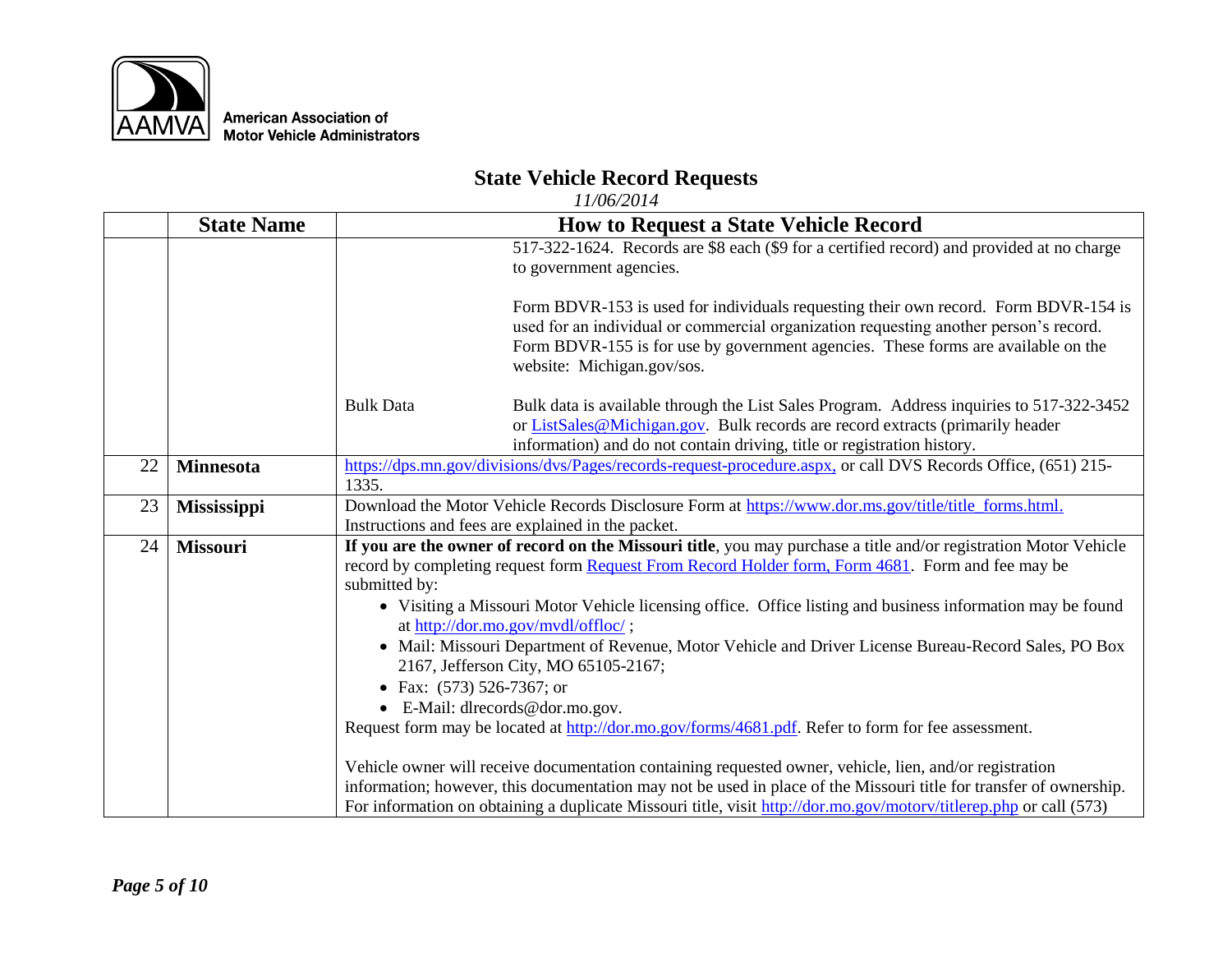

## **State Vehicle Record Requests**

|    | <b>State Name</b>  | <b>How to Request a State Vehicle Record</b>                                                                                                                                                                                                                                                                                                                                                                                                                                                                                                                                                                                                                                                                               |  |
|----|--------------------|----------------------------------------------------------------------------------------------------------------------------------------------------------------------------------------------------------------------------------------------------------------------------------------------------------------------------------------------------------------------------------------------------------------------------------------------------------------------------------------------------------------------------------------------------------------------------------------------------------------------------------------------------------------------------------------------------------------------------|--|
|    |                    | 517-322-1624. Records are \$8 each (\$9 for a certified record) and provided at no charge<br>to government agencies.                                                                                                                                                                                                                                                                                                                                                                                                                                                                                                                                                                                                       |  |
|    |                    | Form BDVR-153 is used for individuals requesting their own record. Form BDVR-154 is<br>used for an individual or commercial organization requesting another person's record.<br>Form BDVR-155 is for use by government agencies. These forms are available on the<br>website: Michigan.gov/sos.                                                                                                                                                                                                                                                                                                                                                                                                                            |  |
|    |                    | <b>Bulk Data</b><br>Bulk data is available through the List Sales Program. Address inquiries to 517-322-3452<br>or ListSales@Michigan.gov. Bulk records are record extracts (primarily header<br>information) and do not contain driving, title or registration history.                                                                                                                                                                                                                                                                                                                                                                                                                                                   |  |
| 22 | <b>Minnesota</b>   | https://dps.mn.gov/divisions/dvs/Pages/records-request-procedure.aspx, or call DVS Records Office, (651) 215-<br>1335.                                                                                                                                                                                                                                                                                                                                                                                                                                                                                                                                                                                                     |  |
| 23 | <b>Mississippi</b> | Download the Motor Vehicle Records Disclosure Form at https://www.dor.ms.gov/title/title_forms.html.<br>Instructions and fees are explained in the packet.                                                                                                                                                                                                                                                                                                                                                                                                                                                                                                                                                                 |  |
| 24 | <b>Missouri</b>    | If you are the owner of record on the Missouri title, you may purchase a title and/or registration Motor Vehicle<br>record by completing request form Request From Record Holder form, Form 4681. Form and fee may be<br>submitted by:<br>• Visiting a Missouri Motor Vehicle licensing office. Office listing and business information may be found<br>at http://dor.mo.gov/mvdl/offloc/;<br>• Mail: Missouri Department of Revenue, Motor Vehicle and Driver License Bureau-Record Sales, PO Box<br>2167, Jefferson City, MO 65105-2167;<br>• Fax: $(573)$ 526-7367; or<br>$\bullet$ E-Mail: dlrecords@dor.mo.gov.<br>Request form may be located at http://dor.mo.gov/forms/4681.pdf. Refer to form for fee assessment. |  |
|    |                    | Vehicle owner will receive documentation containing requested owner, vehicle, lien, and/or registration<br>information; however, this documentation may not be used in place of the Missouri title for transfer of ownership.<br>For information on obtaining a duplicate Missouri title, visit http://dor.mo.gov/motory/titlerep.php or call (573)                                                                                                                                                                                                                                                                                                                                                                        |  |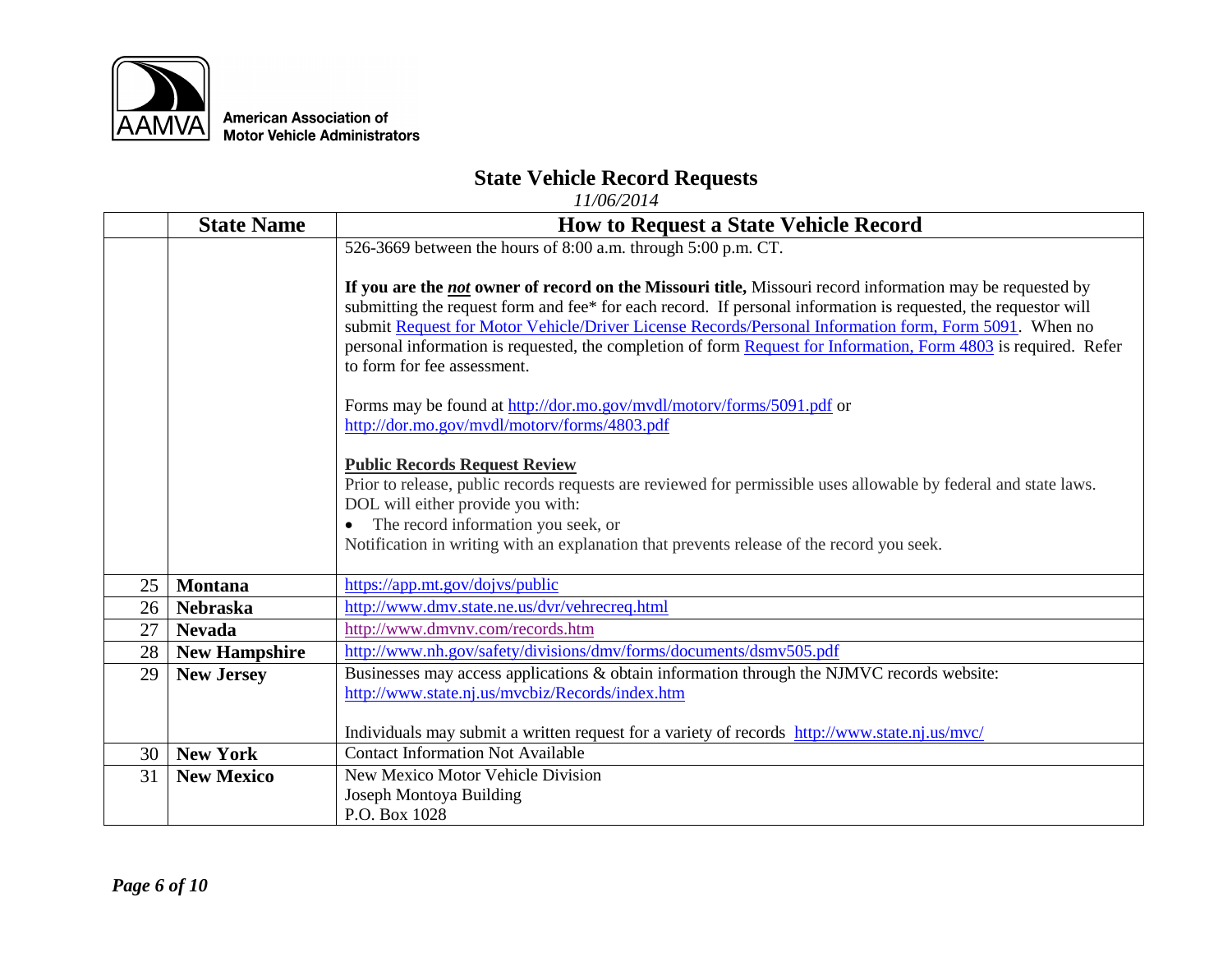

# **State Vehicle Record Requests**

|    | <b>State Name</b>    | <b>How to Request a State Vehicle Record</b>                                                                                                                                                                                                                                                                                                                                                                                                                                                  |
|----|----------------------|-----------------------------------------------------------------------------------------------------------------------------------------------------------------------------------------------------------------------------------------------------------------------------------------------------------------------------------------------------------------------------------------------------------------------------------------------------------------------------------------------|
|    |                      | 526-3669 between the hours of 8:00 a.m. through 5:00 p.m. CT.                                                                                                                                                                                                                                                                                                                                                                                                                                 |
|    |                      | If you are the <i>not</i> owner of record on the Missouri title, Missouri record information may be requested by<br>submitting the request form and fee* for each record. If personal information is requested, the requestor will<br>submit Request for Motor Vehicle/Driver License Records/Personal Information form, Form 5091. When no<br>personal information is requested, the completion of form Request for Information, Form 4803 is required. Refer<br>to form for fee assessment. |
|    |                      | Forms may be found at http://dor.mo.gov/mvdl/motorv/forms/5091.pdf or<br>http://dor.mo.gov/mvdl/motorv/forms/4803.pdf                                                                                                                                                                                                                                                                                                                                                                         |
|    |                      |                                                                                                                                                                                                                                                                                                                                                                                                                                                                                               |
|    |                      | <b>Public Records Request Review</b>                                                                                                                                                                                                                                                                                                                                                                                                                                                          |
|    |                      | Prior to release, public records requests are reviewed for permissible uses allowable by federal and state laws.                                                                                                                                                                                                                                                                                                                                                                              |
|    |                      | DOL will either provide you with:                                                                                                                                                                                                                                                                                                                                                                                                                                                             |
|    |                      | The record information you seek, or<br>$\bullet$                                                                                                                                                                                                                                                                                                                                                                                                                                              |
|    |                      | Notification in writing with an explanation that prevents release of the record you seek.                                                                                                                                                                                                                                                                                                                                                                                                     |
| 25 | <b>Montana</b>       | https://app.mt.gov/dojvs/public                                                                                                                                                                                                                                                                                                                                                                                                                                                               |
| 26 | <b>Nebraska</b>      | http://www.dmv.state.ne.us/dvr/vehrecreq.html                                                                                                                                                                                                                                                                                                                                                                                                                                                 |
| 27 | <b>Nevada</b>        | http://www.dmvnv.com/records.htm                                                                                                                                                                                                                                                                                                                                                                                                                                                              |
| 28 | <b>New Hampshire</b> | http://www.nh.gov/safety/divisions/dmv/forms/documents/dsmv505.pdf                                                                                                                                                                                                                                                                                                                                                                                                                            |
| 29 | <b>New Jersey</b>    | Businesses may access applications & obtain information through the NJMVC records website:                                                                                                                                                                                                                                                                                                                                                                                                    |
|    |                      | http://www.state.nj.us/mvcbiz/Records/index.htm                                                                                                                                                                                                                                                                                                                                                                                                                                               |
|    |                      |                                                                                                                                                                                                                                                                                                                                                                                                                                                                                               |
|    |                      | Individuals may submit a written request for a variety of records http://www.state.nj.us/mvc/                                                                                                                                                                                                                                                                                                                                                                                                 |
| 30 | <b>New York</b>      | <b>Contact Information Not Available</b>                                                                                                                                                                                                                                                                                                                                                                                                                                                      |
| 31 | <b>New Mexico</b>    | <b>New Mexico Motor Vehicle Division</b>                                                                                                                                                                                                                                                                                                                                                                                                                                                      |
|    |                      | Joseph Montoya Building                                                                                                                                                                                                                                                                                                                                                                                                                                                                       |
|    |                      | P.O. Box 1028                                                                                                                                                                                                                                                                                                                                                                                                                                                                                 |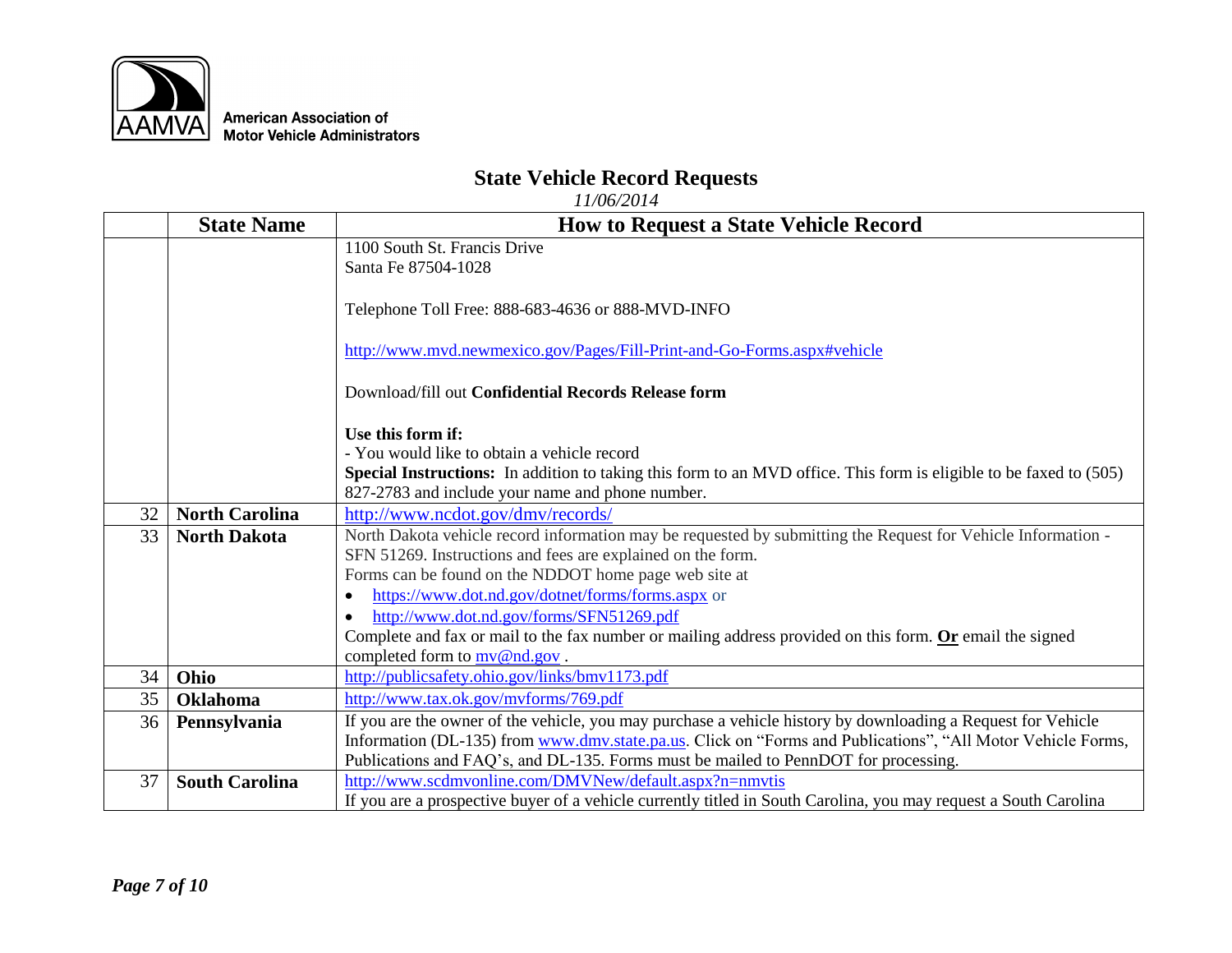

## **State Vehicle Record Requests**

|    | <b>State Name</b>     | <b>How to Request a State Vehicle Record</b>                                                                       |
|----|-----------------------|--------------------------------------------------------------------------------------------------------------------|
|    |                       | 1100 South St. Francis Drive                                                                                       |
|    |                       | Santa Fe 87504-1028                                                                                                |
|    |                       |                                                                                                                    |
|    |                       | Telephone Toll Free: 888-683-4636 or 888-MVD-INFO                                                                  |
|    |                       |                                                                                                                    |
|    |                       | http://www.mvd.newmexico.gov/Pages/Fill-Print-and-Go-Forms.aspx#vehicle                                            |
|    |                       |                                                                                                                    |
|    |                       | Download/fill out Confidential Records Release form                                                                |
|    |                       | Use this form if:                                                                                                  |
|    |                       | - You would like to obtain a vehicle record                                                                        |
|    |                       | Special Instructions: In addition to taking this form to an MVD office. This form is eligible to be faxed to (505) |
|    |                       | 827-2783 and include your name and phone number.                                                                   |
| 32 | <b>North Carolina</b> | http://www.ncdot.gov/dmv/records/                                                                                  |
| 33 | <b>North Dakota</b>   | North Dakota vehicle record information may be requested by submitting the Request for Vehicle Information -       |
|    |                       | SFN 51269. Instructions and fees are explained on the form.                                                        |
|    |                       | Forms can be found on the NDDOT home page web site at                                                              |
|    |                       | https://www.dot.nd.gov/dotnet/forms/forms.aspx or<br>$\bullet$                                                     |
|    |                       | http://www.dot.nd.gov/forms/SFN51269.pdf<br>$\bullet$                                                              |
|    |                       | Complete and fax or mail to the fax number or mailing address provided on this form. Or email the signed           |
|    |                       | completed form to $mv@nd.gov$ .                                                                                    |
| 34 | Ohio                  | http://publicsafety.ohio.gov/links/bmv1173.pdf                                                                     |
| 35 | <b>Oklahoma</b>       | http://www.tax.ok.gov/mvforms/769.pdf                                                                              |
| 36 | Pennsylvania          | If you are the owner of the vehicle, you may purchase a vehicle history by downloading a Request for Vehicle       |
|    |                       | Information (DL-135) from www.dmv.state.pa.us. Click on "Forms and Publications", "All Motor Vehicle Forms,        |
|    |                       | Publications and FAQ's, and DL-135. Forms must be mailed to PennDOT for processing.                                |
| 37 | <b>South Carolina</b> | http://www.scdmvonline.com/DMVNew/default.aspx?n=nmvtis                                                            |
|    |                       | If you are a prospective buyer of a vehicle currently titled in South Carolina, you may request a South Carolina   |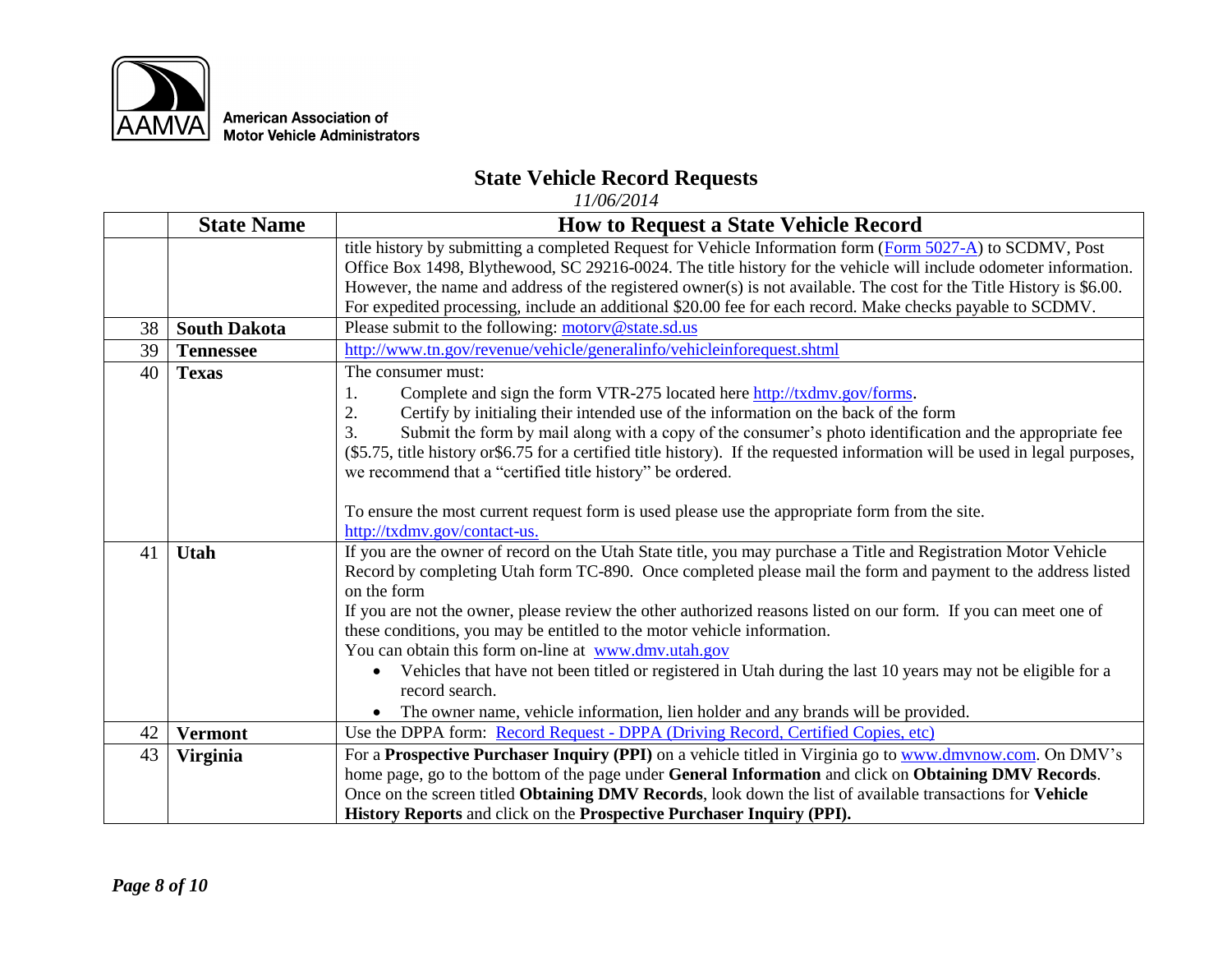

## **State Vehicle Record Requests**

|    | <b>State Name</b>   | <b>How to Request a State Vehicle Record</b>                                                                                  |  |
|----|---------------------|-------------------------------------------------------------------------------------------------------------------------------|--|
|    |                     | title history by submitting a completed Request for Vehicle Information form (Form 5027-A) to SCDMV, Post                     |  |
|    |                     | Office Box 1498, Blythewood, SC 29216-0024. The title history for the vehicle will include odometer information.              |  |
|    |                     | However, the name and address of the registered owner(s) is not available. The cost for the Title History is \$6.00.          |  |
|    |                     | For expedited processing, include an additional \$20.00 fee for each record. Make checks payable to SCDMV.                    |  |
| 38 | <b>South Dakota</b> | Please submit to the following: motory@state.sd.us                                                                            |  |
| 39 | <b>Tennessee</b>    | http://www.tn.gov/revenue/vehicle/generalinfo/vehicleinforequest.shtml                                                        |  |
| 40 | <b>Texas</b>        | The consumer must:                                                                                                            |  |
|    |                     | Complete and sign the form VTR-275 located here http://txdmv.gov/forms.<br>1.                                                 |  |
|    |                     | Certify by initialing their intended use of the information on the back of the form<br>2.                                     |  |
|    |                     | $\overline{3}$ .<br>Submit the form by mail along with a copy of the consumer's photo identification and the appropriate fee  |  |
|    |                     | (\$5.75, title history or \$6.75 for a certified title history). If the requested information will be used in legal purposes, |  |
|    |                     | we recommend that a "certified title history" be ordered.                                                                     |  |
|    |                     |                                                                                                                               |  |
|    |                     | To ensure the most current request form is used please use the appropriate form from the site.                                |  |
|    |                     | http://txdmv.gov/contact-us.                                                                                                  |  |
| 41 | <b>Utah</b>         | If you are the owner of record on the Utah State title, you may purchase a Title and Registration Motor Vehicle               |  |
|    |                     | Record by completing Utah form TC-890. Once completed please mail the form and payment to the address listed                  |  |
|    |                     | on the form                                                                                                                   |  |
|    |                     | If you are not the owner, please review the other authorized reasons listed on our form. If you can meet one of               |  |
|    |                     | these conditions, you may be entitled to the motor vehicle information.                                                       |  |
|    |                     | You can obtain this form on-line at www.dmv.utah.gov                                                                          |  |
|    |                     | Vehicles that have not been titled or registered in Utah during the last 10 years may not be eligible for a                   |  |
|    |                     | record search.                                                                                                                |  |
|    |                     | The owner name, vehicle information, lien holder and any brands will be provided.                                             |  |
| 42 | <b>Vermont</b>      | Use the DPPA form: Record Request - DPPA (Driving Record, Certified Copies, etc)                                              |  |
| 43 | <b>Virginia</b>     | For a Prospective Purchaser Inquiry (PPI) on a vehicle titled in Virginia go to www.dmvnow.com. On DMV's                      |  |
|    |                     | home page, go to the bottom of the page under General Information and click on Obtaining DMV Records.                         |  |
|    |                     | Once on the screen titled Obtaining DMV Records, look down the list of available transactions for Vehicle                     |  |
|    |                     | History Reports and click on the Prospective Purchaser Inquiry (PPI).                                                         |  |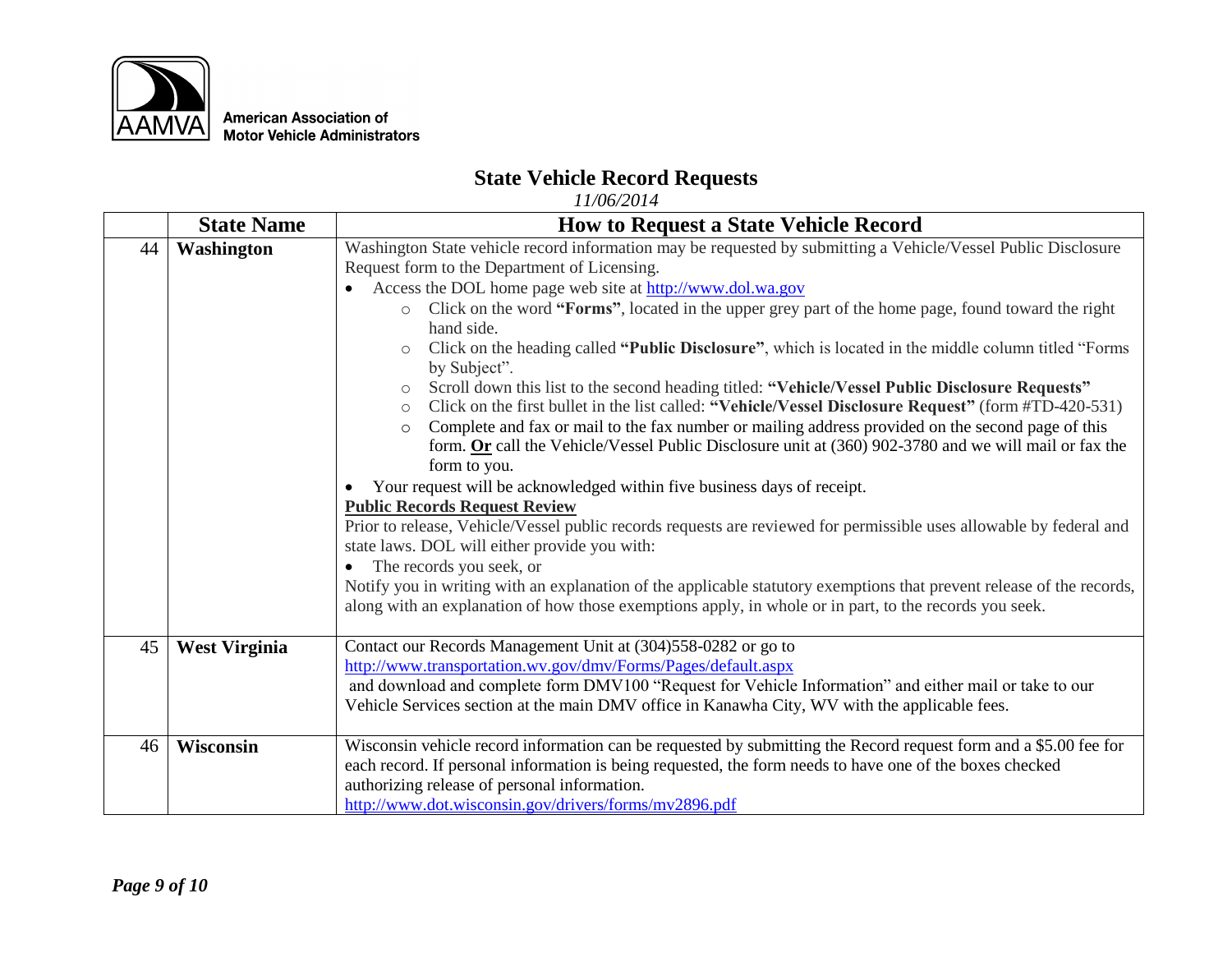

## **State Vehicle Record Requests**

|    | <b>State Name</b>    | <b>How to Request a State Vehicle Record</b>                                                                                                                  |  |
|----|----------------------|---------------------------------------------------------------------------------------------------------------------------------------------------------------|--|
| 44 | Washington           | Washington State vehicle record information may be requested by submitting a Vehicle/Vessel Public Disclosure<br>Request form to the Department of Licensing. |  |
|    |                      | Access the DOL home page web site at http://www.dol.wa.gov<br>$\bullet$                                                                                       |  |
|    |                      | Click on the word "Forms", located in the upper grey part of the home page, found toward the right<br>$\circ$                                                 |  |
|    |                      | hand side.                                                                                                                                                    |  |
|    |                      | Click on the heading called "Public Disclosure", which is located in the middle column titled "Forms"<br>$\circlearrowright$<br>by Subject".                  |  |
|    |                      | Scroll down this list to the second heading titled: "Vehicle/Vessel Public Disclosure Requests"<br>$\circlearrowright$                                        |  |
|    |                      | Click on the first bullet in the list called: "Vehicle/Vessel Disclosure Request" (form #TD-420-531)<br>$\circ$                                               |  |
|    |                      | Complete and fax or mail to the fax number or mailing address provided on the second page of this<br>$\circ$                                                  |  |
|    |                      | form. Or call the Vehicle/Vessel Public Disclosure unit at $(360)$ 902-3780 and we will mail or fax the                                                       |  |
|    |                      | form to you.                                                                                                                                                  |  |
|    |                      | Your request will be acknowledged within five business days of receipt.<br><b>Public Records Request Review</b>                                               |  |
|    |                      | Prior to release, Vehicle/Vessel public records requests are reviewed for permissible uses allowable by federal and                                           |  |
|    |                      | state laws. DOL will either provide you with:                                                                                                                 |  |
|    |                      | The records you seek, or                                                                                                                                      |  |
|    |                      | Notify you in writing with an explanation of the applicable statutory exemptions that prevent release of the records,                                         |  |
|    |                      | along with an explanation of how those exemptions apply, in whole or in part, to the records you seek.                                                        |  |
| 45 |                      |                                                                                                                                                               |  |
|    | <b>West Virginia</b> | Contact our Records Management Unit at (304)558-0282 or go to<br>http://www.transportation.wv.gov/dmv/Forms/Pages/default.aspx                                |  |
|    |                      | and download and complete form DMV100 "Request for Vehicle Information" and either mail or take to our                                                        |  |
|    |                      | Vehicle Services section at the main DMV office in Kanawha City, WV with the applicable fees.                                                                 |  |
|    |                      |                                                                                                                                                               |  |
| 46 | Wisconsin            | Wisconsin vehicle record information can be requested by submitting the Record request form and a \$5.00 fee for                                              |  |
|    |                      | each record. If personal information is being requested, the form needs to have one of the boxes checked                                                      |  |
|    |                      | authorizing release of personal information.                                                                                                                  |  |
|    |                      | http://www.dot.wisconsin.gov/drivers/forms/mv2896.pdf                                                                                                         |  |